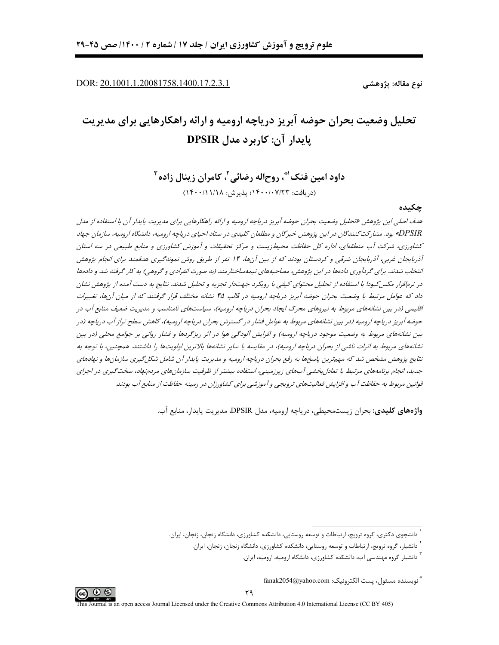DOR: 20.1001.1.20081758.1400.17.2.3.1

نوع مقاله: پژوهشے ِ

# تحلیل وضعیت بحران حوضه آبریز دریاچه ارومیه و ارائه راهکارهایی برای مدیریت يابدار آن: کاربرد مدل DPSIR

داود امین فنک"، روحاله رضائی'، کامران زینال زاده" (دريافت: ١۴٠٠/٠٧/٢٣؛ پذيرش: ١۴٠٠/١١/١٨)

## جكىدە

هدف اصلے ،این پژوهش «تحلیل وضعیت بحران حوضه آبریز دریاچه ارومیه و ارائه راهکارهایی برای مدیریت پایدار آن با استفاده از مدل DPSIR» بود. مشارکت کنندگان در این پژوهش خبرگان و مطلعان کلیدی در ستاد احیای دریاجه ارومیه، دانشگاه ارومیه، سازمان جهاد کشاورزی، شرکت آب منطقهای، اداره کل حفاظت محیطزیست و مرکز تحقیقات و آموزش کشاورزی و منابع طبیعی در سه استان آذربایجان غربی، آذربایجان شرقی و کردستان بودند که از بین آنها، ۱۴ نفر از طریق روش نمونهگیری هدفمند برای انجام پژوهش انتخاب شدند. برای گردآوری دادهها در این پژوهش، مصاحبههای نیمهساختارمند (به صورت انفرادی و گروهی) به کار گرفته شد و دادهها در نرمافزار مکس کیودا با استفاده از تحلیل محتوای کیفی با رویکرد جهتدار تجزیه و تحلیل شدند. نتایج به دست آمده از پژوهش نشان داد که عوامل مرتبط با وضعیت بحران حوضه آبریز دریاچه ارومیه در قالب ۴۵ نشانه مختلف قرار گرفتند که از میان آنها، تغییرات اقلیمی (در بین نشانههای مربوط به نیروهای محرک ایجاد بحران دریاچه ارومیه)، سیاستهای نامناسب و مدیریت ضعیف منابع آب در حوضه آبریز دریاچه ارومیه (در بین نشانههای مربوط به عوامل فشار در گسترش بحران دریاچه ارومیه)، کاهش سطح تراز آب دریاچه (در بین نشانههای مربوط به وضعیت موجود دریاچه ارومیه) و افزایش آلودگی هوا در اثر ریزگردها و فشار روانی بر جوامع محلی (در بین نشانههای مربوط به اثرات ناشبی از بحران دریاچه ارومیه)، در مقایسه با سایر نشانهها بالاترین اولویتها را داشتند. همچنین، با توجه به نتایج پژوهش مشخص شد که مهمترین پاسخها به رفع بحران دریاچه ارومیه و مدیریت پایدار آن شامل شکل گیری سازمانها و نهادهای جدید، انجام برنامههای مرتبط با تعادل بخشی آبهای زیرزمینی، استفاده بیشتر از ظرفیت سازمانهای مردمنهاد، سخت گیری در اجرای قوانین مربوط به حفاظت آب و افزایش فعالیتهای ترویجی و آموزشی برای کشاورزان در زمینه حفاظت از منابع آب بودند.

واژههای کلیدی: بحران زیستمحیطی، دریاچه ارومیه، مدل DPSIR، مدیریت پایدار، منابع آب.



<sup>ً</sup> دانشجوی دکتری، گروه ترویج، ارتباطات و توسعه روستایی، دانشکده کشاورزی، دانشگاه زنجان، زنجان، ایران.

<sup>ِ</sup> دانشیار، گروه ترویج، ارتباطات و توسعه روستایی، دانشکده کشاورزی، دانشگاه زنجان، زنجان، ایران.

<sup>ٔ</sup> دانشیار گروه مهندسی آب، دانشکده کشاورزی، دانشگاه ارومیه، ارومیه، ایران.

<sup>&</sup>quot; نويسنده مسئول، يست الكترونيك: fanak2054@yahoo.com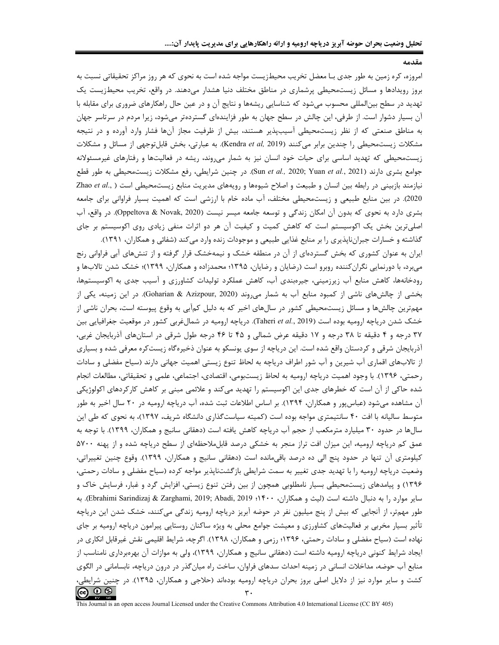مقدمه

امروزه، کره زمین به طور جدی بـا معضل تخریب محیطزیست مواجه شده است به نحوی که هر روز مراکز تحقیقاتی نسبت به بروز رویدادها و مسائل زیستمحیطی پرشماری در مناطق مختلف دنیا هشدار میدهند. در واقع، تخریب محیطزیست یک تهدید در سطح بینالمللی محسوب میشود که شناسایی ریشهها و نتایج آن و در عین حال راهکارهای ضروری برای مقابله با آن بسیار دشوار است. از طرفی، این چالش در سطح جهان به طور فزایندهای گستردهتر میشود، زیرا مردم در سرتاسر جهان به مناطق صنعتی که از نظر زیستمحیطی آسیبپذیر هستند، بیش از ظرفیت مجاز آنها فشار وارد آورده و در نتیجه مشكلات زيستمحيطى را چندين برابر مى كنند (Kendra et al, 2019). به عبارتى، بخش قابلتوجهى از مسائل و مشكلات زیستمحیطی که تهدید اساسی برای حیات خود انسان نیز به شمار میروند، ریشه در فعالیتها و رفتارهای غیرمسئولانه جوامع بشری دارند (Sun et al., 2020; Yuan et al., 2021). در چنین شرایطی، رفع مشکلات زیستمحیطی به طور قطع نیازمند بازبینی در رابطه بین انسان و طبیعت و اصلاح شیوهها و رویههای مدیریت منابع زیستمحیطی است ( ,Zhao et al 2020). در بین منابع طبیعی و زیستمحیطی مختلف، آب ماده خام با ارزشی است که اهمیت بسیار فراوانی برای جامعه بشری دارد به نحوی که بدون آن امکان زندگی و توسعه جامعه میسر نیست (Oppeltova & Novak, 2020). در واقع، آب اصلی ترین بخش یک اکوسیستم است که کاهش کمیت و کیفیت آن هر دو اثرات منفی زیادی روی اکوسیستم بر جای گذاشته و خسارات جبرانناپذیری را بر منابع غذایی طبیعی و موجودات زنده وارد میکند (شفائی و همکاران، ۱۳۹۱).

ایران به عنوان کشوری که بخش گستردهای از آن در منطقه خشک و نیمهخشک قرار گرفته و از تنشهای آبی فراوانی رنج میبرد، با دورنمایی نگران کننده روبرو است (رضایان و رضایان، ۱۳۹۵؛ محمدزاده و همکاران، ۱۳۹۹)؛ خشک شدن تالابها و رودخانهها، کاهش منابع آب زیرزمینی، جیرهبندی آب، کاهش عملکرد تولیدات کشاورزی و آسیب جدی به اکوسیستمها، بخشی از چالشهای ناشی از کمبود منابع آب به شمار می وند (Goharian & Azizpour, 2020). در این زمینه، یکی از مهمترین چالشها و مسائل زیستمحیطی کشور در سالهای اخیر که به دلیل کمآبی به وقوع پیوسته است، بحران ناشی از خشک شدن دریاچه ارومیه بوده است (Taheri et al., 2019). دریاچه ارومیه در شمالغربی کشور در موقعیت جغرافیایی بین ۳۷ درجه و ۴ دقیقه تا ۳۸ درجه و ۱۷ دقیقه عرض شمالی و ۴۵ تا ۴۶ درجه طول شرقی در استانهای آذربایجان غربی، آذربایجان شرقی و کردستان واقع شده است. این دریاچه از سوی یونسکو به عنوان ذخیرهگاه زیستکره معرفی شده و بسیاری از تالابهای اقماری آب شیرین و آب شور اطراف دریاچه به لحاظ تنوع زیستی اهمیت جهانی دارند (سیاح مفضلی و سادات رحمتي، ١٣٩۶). با وجود اهميت درياچه اروميه به لحاظ زيستبومي، اقتصادي، اجتماعي، علمي و تحقيقاتي، مطالعات انجام شده حاکی از آن است که خطرهای جدی این اکوسیستم را تهدید میکند و علائمی مبنی بر کاهش کارکردهای اکولوژیکی آن مشاهده میشود (عباسپور و همکاران، ۱۳۹۴). بر اساس اطلاعات ثبت شده، آب دریاچه ارومیه در ۲۰ سال اخیر به طور متوسط سالیانه با افت ۴۰ سانتیمتری مواجه بوده است (کمیته سیاستگذاری دانشگاه شریف، ۱۳۹۷)، به نحوی که طی این سالها در حدود ۳۰ میلیارد مترمکعب از حجم آب دریاچه کاهش یافته است (دهقانی سانیج و همکاران، ۱۳۹۹). با توجه به عمق کم دریاچه ارومیه، این میزان افت تراز منجر به خشکی درصد قابل.ملاحظهای از سطح دریاچه شده و از پهنه ۵۷۰۰ کیلومتری آن تنها در حدود پنج الی ده درصد باقیمانده است (دهقانی سانیج و همکاران، ۱۳۹۹). وقوع چنین تغییراتی، وضعیت دریاچه ارومیه را با تهدید جدی تغییر به سمت شرایطی بازگشتناپذیر مواجه کرده (سیاح مفضلی و سادات رحمتی، ۱۳۹۶) و پیامدهای زیستمحیطی بسیار نامطلوبی همچون از بین رفتن تنوع زیستی، افزایش گرد و غبار، فرسایش خاک و ساير موارد را به دنبال داشته است (ليث و همكاران، ۴۰۰؛ Ebrahimi Sarindizaj & Zarghami, 2019; Abadi, 2019؛ به طور مهمتر، از آنجایی که بیش از پنج میلیون نفر در حوضه آبریز دریاچه ارومیه زندگی میکنند، خشک شدن این دریاچه تأثیر بسیار مخربی بر فعالیتهای کشاورزی و معیشت جوامع محلی به ویژه ساکنان روستایی پیرامون دریاچه ارومیه بر جای نهاده است (سیاح مفضلی و سادات رحمتی، ۱۳۹۶؛ رزمی و همکاران، ۱۳۹۸). اگرچه، شرایط اقلیمی نقش غیرقابل انکاری در ایجاد شرایط کنونی دریاچه ارومیه داشته است (دهقانی سانیج و همکاران، ۱۳۹۹)، ولی به موازات آن بهرهبرداری نامناسب از منابع آب حوضه، مداخلات انسانی در زمینه احداث سدهای فراوان، ساخت راه میانگذر در درون دریاچه، نابسامانی در الگوی کشت و سایر موارد نیز از دلایل اصلی بروز بحران دریاچه ارومیه بودهاند (حلاجی و همکاران، ۱۳۹۵). در چنین شرایطی،  $(cc)$   $\circledcirc$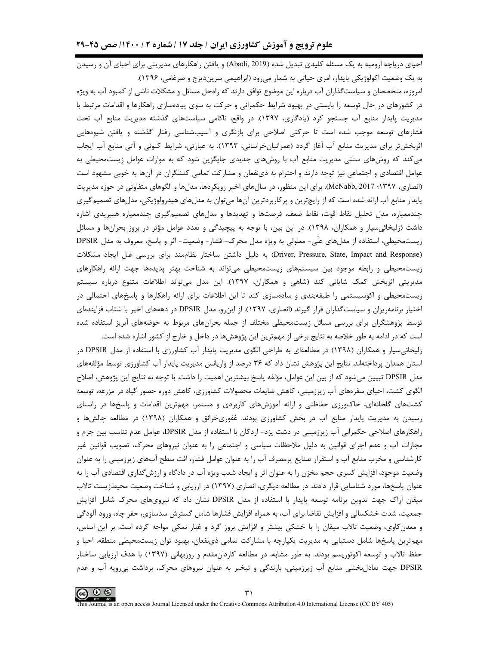احیای دریاچه ارومیه به یک مسئله کلیدی تبدیل شده (Abadi, 2019) و یافتن راهکارهای مدیریتی برای احیای آن و رسیدن به یک وضعیت اکولوژیکی پایدار، امری حیاتی به شمار میرود (ابراهیمی سریندیزج و ضرغامی، ۱۳۹۶).

امروزه، متخصصان و سیاست گذاران آب درباره این موضوع توافق دارند که رامحل مسائل و مشکلات ناشی از کمبود آب به ویژه در کشورهای در حال توسعه را بایستی در بهبود شرایط حکمرانی و حرکت به سوی پیادهسازی راهکارها و اقدامات مرتبط با مدیریت پایدار منابع آب جستجو کرد (یادگاری، ۱۳۹۷). در واقع، ناکامی سیاستهای گذشته مدیریت منابع آب تحت فشارهای توسعه موجب شده است تا حرکتی اصلاحی برای بازنگری و آسیبشناسی رفتار گذشته و یافتن شیوههایی اثربخشتر برای مدیریت منابع آب آغاز گردد (عمرانیانخراسانی، ۱۳۹۳). به عبارتی، شرایط کنونی و آتی منابع آب ایجاب میکند که روشهای سنتی مدیریت منابع آب با روشهای جدیدی جایگزین شود که به موازات عوامل زیستمحیطی به عوامل اقتصادی و اجتماعی نیز توجه دارند و احترام به ذینفعان و مشارکت تمامی کنشگران در آنها به خوبی مشهود است (انصاری، ۱۳۹۷؛ McNabb, 2017). برای این منظور، در سال های اخیر رویکردها، مدل ها و الگوهای متفاوتی در حوزه مدیریت پایدار منابع آب ارائه شده است که از رایجترین و پرکاربردترین آنها میتوان به مدلهای هیدرولوژیکی، مدلهای تصمیمگیری چندمعیاره، مدل تحلیل نقاط قوت، نقاط ضعف، فرصتها و تهدیدها و مدلهای تصمیمگیری چندمعیاره هیبریدی اشاره داشت (زلیخائیسیار و همکاران، ۱۳۹۸). در این بین، با توجه به پیچیدگی و تعدد عوامل مؤثر در بروز بحرانها و مسائل زیستمحیطی، استفاده از مدلهای علّی- معلولی به ویژه مدل محرک- فشار- وضعیت- اثر و پاسخ، معروف به مدل DPSIR (Driver, Pressure, State, Impact and Response) به دلیل داشتن ساختار نظاممند برای بررسی علل ایجاد مشکلات زیستمحیطی و رابطه موجود بین سیستمهای زیستمحیطی میتواند به شناخت بهتر پدیدهها جهت ارائه راهکارهای مدیریتی اثربخش کمک شایانی کند (شاهی و همکاران، ۱۳۹۷). این مدل میتواند اطلاعات متنوع درباره سیستم زیستمحیطی و اکوسیستمی را طبقهبندی و سادهسازی کند تا این اطلاعات برای ارائه راهکارها و پاسخهای احتمالی در اختیار برنامهریزان و سیاستگذاران قرار گیرند (انصاری، ۱۳۹۷). از این رو، مدل DPSIR در دهههای اخیر با شتاب فزایندهای توسط پژوهشگران برای بررسی مسائل زیستمحیطی مختلف از جمله بحرانهای مربوط به حوضههای آبریز استفاده شده است که در ادامه به طور خلاصه به نتایج برخی از مهمترین این پژوهش ها در داخل و خارج از کشور اشاره شده است.

زلیخائی سیار و همکاران (۱۳۹۸) در مطالعهای به طراحی الگوی مدیریت پایدار آب کشاورزی با استفاده از مدل DPSIR در استان همدان پرداختهاند. نتایج این پژوهش نشان داد که ۳۶ درصد از واریانس مدیریت پایدار آب کشاورزی توسط مؤلفههای مدل DPSIR تبيين مي شود كه از بين اين عوامل، مؤلفه پاسخ بيشترين اهميت را داشت. با توجه به نتايج اين پژوهش، اصلاح الگوی کشت، احیای سفرههای آب زیرزمینی، کاهش ضایعات محصولات کشاورزی، کاهش دوره حضور گیاه در مزرعه، توسعه کشتهای گلخانهای، خاکورزی حفاظتی و ارائه آموزشهای کاربردی و مستمر، مهمترین اقدامات و پاسخها در راستای رسیدن به مدیریت پایدار منابع آب در بخش کشاورزی بودند. غفوریخرانق و همکاران (۱۳۹۸) در مطالعه چالشها و راهکارهای اصلاحی حکمرانی آب زیرزمینی در دشت یزد- اردکان با استفاده از مدل DPSIR، عوامل عدم تناسب بین جرم و مجازات آب و عدم اجرای قوانین به دلیل ملاحظات سیاسی و اجتماعی را به عنوان نیروهای محرک، تصویب قوانین غیر کارشناسی و مخرب منابع آب و استقرار صنایع پرمصرف آب را به عنوان عوامل فشار، افت سطح آبهای زیرزمینی را به عنوان وضعیت موجود، افزایش کسری حجم مخزن را به عنوان اثر و ایجاد شعب ویژه آب در دادگاه و ارزش گذاری اقتصادی آب را به عنوان پاسخها، مورد شناسایی قرار دادند. در مطالعه دیگری، انصاری (۱۳۹۷) در ارزیابی و شناخت وضعیت محیطزیست تالاب میقان اراک جهت تدوین برنامه توسعه پایدار با استفاده از مدل DPSIR نشان داد که نیرویهای محرک شامل افزایش جمعیت، شدت خشکسالی و افزایش تقاضا برای آب، به همراه افزایش فشارها شامل گسترش سدسازی، حفر چاه، ورود آلودگی و معدن کاوی، وضعیت تالاب میقان را با خشکی بیشتر و افزایش بروز گرد و غبار نمکی مواجه کرده است. بر این اساس، مهمترین پاسخها شامل دستیابی به مدیریت یکپارچه با مشارکت تمامی ذینفعان، بهبود توان زیستمحیطی منطقه، احیا و حفظ تالاب و توسعه اکوتوریسم بودند. به طور مشابه، در مطالعه کاردانمقدم و روزبهانی (۱۳۹۷) با هدف ارزیابی ساختار DPSIR جهت تعادلبخشي منابع آب زيرزميني، بارندگي و تبخير به عنوان نيروهاي محرک، برداشت بي,ويه آب و عدم

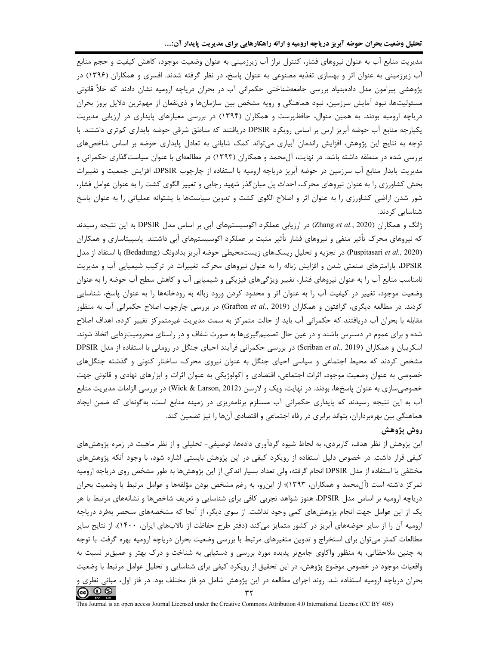مدیریت منابع آب به عنوان نیروهای فشار، کنترل تراز آب زیرزمینی به عنوان وضعیت موجود، کاهش کیفیت و حجم منابع آب زیرزمینی به عنوان اثر و بهسازی تغذیه مصنوعی به عنوان پاسخ، در نظر گرفته شدند. افسری و همکاران (۱۳۹۶) در پژوهشی پیرامون مدل دادهبنیاد بررسی جامعهشناختی حکمرانی آب در بحران دریاچه ارومیه نشان دادند که خلأ قانونی مسئولیتها، نبود آمایش سرزمین، نبود هماهنگی و رویه مشخص بین سازمانها و ذینفعان از مهمترین دلایل بروز بحران دریاچه ارومیه بودند. به همین منوال، حافظپرست و همکاران (۱۳۹۴) در بررسی معیارهای پایداری در ارزیابی مدیریت یکپارچه منابع آب حوضه آبریز ارس بر اساس رویکرد DPSIR دریافتند که مناطق شرقی حوضه پایداری کمتری داشتند. با توجه به نتایج این پژوهش، افزایش راندمان آبیاری میتواند کمک شایانی به تعادل پایداری حوضه بر اساس شاخصهای بررسی شده در منطقه داشته باشد. در نهایت، آلِ محمد و همکاران (۱۳۹۳) در مطالعهای با عنوان سیاستگذاری حکمرانی و مدیریت پایدار منابع آب سرزمین در حوضه آبریز دریاچه ارومیه با استفاده از چارچوب DPSIR، افزایش جمعیت و تغییرات بخش کشاورزی را به عنوان نیروهای محرک، احداث پل میانگذر شهید رجایی و تغییر الگوی کشت را به عنوان عوامل فشار، شور شدن اراضی کشاورزی را به عنوان اثر و اصلاح الگوی کشت و تدوین سیاستها با پشتوانه عملیاتی را به عنوان پاسخ شناسایی کردند.

ژانگ و همکاران (Zhang et al., 2020) در ارزیابی عملکرد اکوسیستمهای آبی بر اساس مدل DPSIR به این نتیجه رسیدند که نیروهای محرک تأثیر منفی و نیروهای فشار تأثیر مثبت بر عملکرد اکوسیستمهای آبی داشتند. پاسپیتاساری و همکاران (Puspitasari et al., 2020) در تجزیه و تحلیل ریسکهای زیستمحیطی حوضه آبریز بدادونگ (Bedadung) با استفاد از مدل DPSIR، پارامترهای صنعتی شدن و افزایش زباله را به عنوان نیروهای محرک، تغییرات در ترکیب شیمیایی آب و مدیریت نامناسب منابع آب را به عنوان نیروهای فشار، تغییر ویژگیهای فیزیکی و شیمیایی آب و کاهش سطح آب حوضه را به عنوان وضعیت موجود، تغییر در کیفیت آب را به عنوان اثر و محدود کردن ورود زباله به رودخانهها را به عنوان پاسخ، شناسایی کردند. در مطالعه دیگری، گرافتون و همکاران (Grafton et al., 2019) در بررسی چارچوب اصلاح حکمرانی آب به منظور مقابله با بحران آب دریافتند که حکمرانی آب باید از حالت متمرکز به سمت مدیریت غیرمتمرکز تغییر کرده، اهداف اصلاح شده و برای عموم در دسترس باشند و در عین حال تصمیمگیریها به صورت شفاف و در راستای محرومیتزدایی اتخاذ شوند. اسکریبان و همکاران (Scriban et al., 2019) در بررسی حکمرانی فرآیند احیای جنگل در رومانی با استفاده از مدل DPSIR مشخص کردند که محیط اجتماعی و سیاسی احیای جنگل به عنوان نیروی محرک، ساختار کنونی و گذشته جنگلهای خصوصی به عنوان وضعیت موجود، اثرات اجتماعی، اقتصادی و اکولوژیکی به عنوان اثرات و ابزارهای نهادی و قانونی جهت خصوصی سازی به عنوان پاسخها، بودند. در نهایت، ویک و لارسن (Wiek & Larson, 2012) در بررسی الزامات مدیریت منابع آب به این نتیجه رسیدند که پایداری حکمرانی آب مستلزم برنامهریزی در زمینه منابع است، بهگونهای که ضمن ایجاد هماهنگی بین بهرهبرداران، بتواند برابری در رفاه اجتماعی و اقتصادی آنها را نیز تضمین کند.

## روش پژوهش

این پژوهش از نظر هدف، کاربردی، به لحاظ شیوه گردآوری دادهها، توصیفی- تحلیلی و از نظر ماهیت در زمره پژوهشهای کیفی قرار داشت. در خصوص دلیل استفاده از رویکرد کیفی در این پژوهش بایستی اشاره شود، با وجود آنکه پژوهشهای مختلفی با استفاده از مدل DPSIR انجام گرفته، ولی تعداد بسیار اندکی از این پژوهشها به طور مشخص روی دریاچه ارومیه تمرکز داشته است (آل0محمد و همکاران، ۱۳۹۳)؛ از این٫و، به رغم مشخص بودن مؤلفهها و عوامل مرتبط با وضعیت بحران دریاچه ارومیه بر اساس مدل DPSIR، هنوز شواهد تجربی کافی برای شناسایی و تعریف شاخصها و نشانههای مرتبط با هر یک از این عوامل جهت انجام پژوهشهای کمی وجود نداشت. از سوی دیگر، از آنجا که مشخصههای منحصر بهفرد دریاچه ارومیه آن را از سایر حوضههای آبریز در کشور متمایز میکند (دفتر طرح حفاظت از تالابهای ایران، ۱۴۰۰)، از نتایج سایر مطالعات کمتر میتوان برای استخراج و تدوین متغیرهای مرتبط با بررسی وضعیت بحران دریاچه ارومیه بهره گرفت. با توجه به چنین ملاحظاتی، به منظور واکاوی جامعتر پدیده مورد بررسی و دستیابی به شناخت و درک بهتر و عمیقتر نسبت به واقعیات موجود در خصوص موضوع پژوهش، در این تحقیق از رویکرد کیفی برای شناسایی و تحلیل عوامل مرتبط با وضعیت بحران دریاچه ارومیه استفاده شد. روند اجرای مطالعه در این پژوهش شامل دو فاز مختلف بود. در فاز اول، مبانی نظری و  $\circledcirc$   $\circledcirc$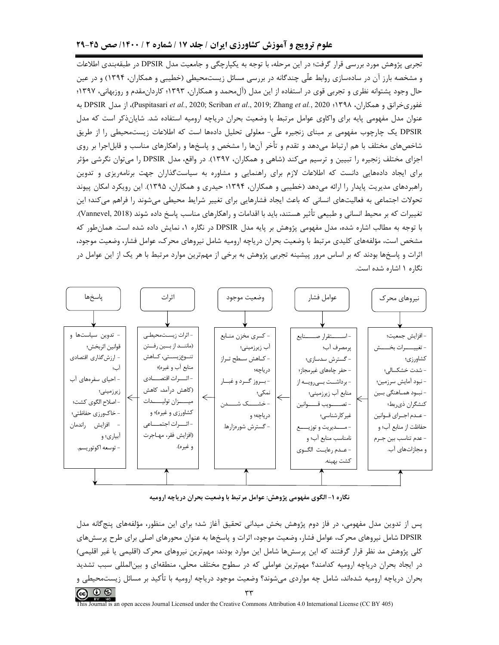# علوم ترویج و آموزش کشاورزی ایران / جلد ۱۷ / شماره ۲ / ۱۴۰۰/ صص ۴۵-۲۹

تجربی پژوهش مورد بررسی قرار گرفت؛ در این مرحله، با توجه به یکپارچگی و جامعیت مدل DPSIR در طبقهبندی اطلاعات و مشخصه بارز آن در سادهسازی روابط علّی چندگانه در بررسی مسائل زیستمحیطی (خطیبی و همکاران، ۱۳۹۴) و در عین حال وجود پشتوانه نظری و تجربی قوی در استفاده از این مدل (آلbمحمد و همکاران، ۱۳۹۳؛ کاردان،مقدم و روزبهانی، ۱۳۹۷؛ غفوريخرانق و همكاران، ۱۳۹۸؛ DPSIR به DPSIR به Puspitasari *et al.,* 2020; Scriban *et al.,* 2019; Zhang *et al.,* 2020 عنوان مدل مفهومی پایه برای واکاوی عوامل مرتبط با وضعیت بحران دریاچه ارومیه استفاده شد. شایانذکر است که مدل DPSIR یک چارچوب مفهومی بر مبنای زنجیره علّی- معلولی تحلیل دادهها است که اطلاعات زیستمحیطی را از طریق شاخصهای مختلف با هم ارتباط میدهد و تقدم و تأخر آنها را مشخص و پاسخها و راهکارهای مناسب و قابل|جرا بر روی اجزای مختلف زنجیره را تبیین و ترسیم میکند (شاهی و همکاران، ۱۳۹۷). در واقع، مدل DPSIR را میتوان نگرشی مؤثر برای ایجاد دادههایی دانست که اطلاعات لازم برای راهنمایی و مشاوره به سیاستگذاران جهت برنامهریزی و تدوین راهبردهای مدیریت پایدار را ارائه می دهد (خطیبی و همکاران، ۱۳۹۴؛ حیدری و همکاران، ۱۳۹۵). این رویکرد امکان پیوند تحولات اجتماعی به فعالیتهای انسانی که باعث ایجاد فشارهایی برای تغییر شرایط محیطی میشوند را فراهم میکند؛ این تغييرات كه بر محيط انساني و طبيعي تأثير هستند، بايد با اقدامات و راهكارهاي مناسب پاسخ داده شوند (Vannevel, 2018). با توجه به مطالب اشاره شده، مدل مفهومی پژوهش بر پایه مدل DPSIR در نگاره ۱، نمایش داده شده است. همانطور که مشخص است، مؤلفههای کلیدی مرتبط با وضعیت بحران دریاچه ارومیه شامل نیروهای محرک، عوامل فشار، وضعیت موجود، اثرات و پاسخها بودند که بر اساس مرور پیشینه تجربی پژوهش به برخی از مهمترین موارد مرتبط با هر یک از این عوامل در نگاره ١ اشاره شده است.



نگاره ۱–الگوی مفهومی پژوهش: عوامل مرتبط با وضعیت بحران دریاچه ارومیه

پس از تدوین مدل مفهومی، در فاز دوم پژوهش بخش میدانی تحقیق آغاز شد؛ برای این منظور، مؤلفههای پنجگانه مدل DPSIR شامل نیروهای محرک، عوامل فشار، وضعیت موجود، اثرات و پاسخها به عنوان محورهای اصلی برای طرح پرسشهای کلی پژوهش مد نظر قرار گرفتند که این پرسش۱ها شامل این موارد بودند: مهمترین نیروهای محرک (اقلیمی یا غیر اقلیمی) در ایجاد بحران دریاچه ارومیه کدامند؟ مهمترین عواملی که در سطوح مختلف محلی، منطقهای و بینالمللی سبب تشدید بحران دریاچه ارومیه شدهاند، شامل چه مواردی میشوند؟ وضعیت موجود دریاچه ارومیه با تأکید بر مسائل زیستمحیطی و  $\circledcirc$   $\circledcirc$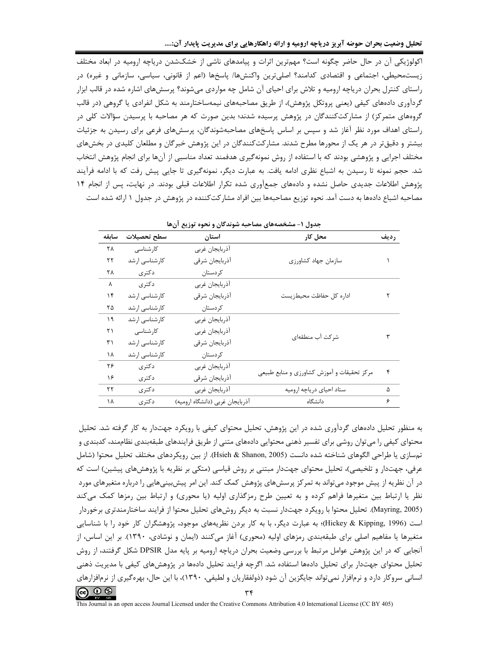تحلیل وضعیت بحران حوضه آبریز دریاچه ارومیه و ارائه راهکارهایی برای مدیریت پایدار آن:....

اکولوژیکی آن در حال حاضر چگونه است؟ مهمترین اثرات و پیامدهای ناشی از خشکشدن دریاچه ارومیه در ابعاد مختلف زیستمحیطی، اجتماعی و اقتصادی کدامند؟ اصلیترین واکنشها/ پاسخها (اعم از قانونی، سیاسی، سازمانی و غیره) در راستای کنترل بحران دریاچه ارومیه و تلاش برای احیای آن شامل چه مواردی میشوند؟ پرسشهای اشاره شده در قالب ابزار گردآوری دادههای کیفی (یعنی پروتکل پژوهش)، از طریق مصاحبههای نیمهساختارمند به شکل انفرادی یا گروهی (در قالب گروههای متمرکز) از مشارکتکنندگان در پژوهش پرسیده شدند؛ بدین صورت که هر مصاحبه با پرسیدن سؤالات کلی در راستای اهداف مورد نظر آغاز شد و سپس بر اساس پاسخهای مصاحبهشوندگان، پرسشهای فرعی برای رسیدن به جزئیات بیشتر و دقیقتر در هر یک از محورها مطرح شدند. مشارکتکنندگان در این پژوهش خبرگان و مطلعان کلیدی در بخشهای مختلف اجرایی و پژوهشی بودند که با استفاده از روش نمونهگیری هدفمند تعداد مناسبی از آنها برای انجام پژوهش انتخاب شد. حجم نمونه تا رسیدن به اشباع نظری ادامه یافت. به عبارت دیگر، نمونهگیری تا جایی پیش رفت که با ادامه فرآیند یژوهش اطلاعات جدیدی حاصل نشده و دادههای جمعآوری شده تکرار اطلاعات قبلی بودند. در نهایت، پس از انجام ۱۴ مصاحبه اشباع دادهها به دست آمد. نحوه توزیع مصاحبهها بین افراد مشار کتکننده در پژوهش در جدول ۱ ارائه شده است

| ۳۳ <del>سر ۱۰۰۰ و ۲۰۰۰ بر</del> زین ان<br>. - د ن |               |                                 |                                            |      |  |  |
|---------------------------------------------------|---------------|---------------------------------|--------------------------------------------|------|--|--|
| سابقه                                             | سطح تحصيلات   | استان                           | محل کار                                    | رديف |  |  |
| ۲۸                                                | کارشناسی      | أذربايجان غربي                  |                                            |      |  |  |
| ۲۲                                                | كارشناسى ارشد | آذربايجان شرقى                  | سازمان جهاد كشاورزى                        |      |  |  |
| ۲۸                                                | دكترى         | كردستان                         |                                            |      |  |  |
| Λ                                                 | دكترى         | أذربايجان غربي                  |                                            |      |  |  |
| ۱۴                                                | كارشناسى ارشد | آذربايجان شرقى                  | اداره كل حفاظت محيطزيست                    |      |  |  |
| ۲۵                                                | كارشناسى ارشد | كردستان                         |                                            |      |  |  |
| ۱۹                                                | كارشناسى ارشد | أذربايجان غربي                  |                                            |      |  |  |
| ۲۱                                                | کار شناسی     | أذربايجان غربي                  | شركت آب منطقهاى                            |      |  |  |
| ۳۱                                                | كارشناسى ارشد | آذربايجان شرقى                  |                                            |      |  |  |
| ۱۸                                                | كارشناسى ارشد | كردستان                         |                                            |      |  |  |
| ۲۶                                                | دكترى         | أذربايجان غربي                  |                                            | ۴    |  |  |
| ۱۶                                                | دکتری         | أذربايجان شرقى                  | مرکز تحقیقات و آموزش کشاورزی و منابع طبیعی |      |  |  |
| ۲۲                                                | دكترى         | أذربايجان غربي                  | ستاد احياي درياچه اروميه                   | ۵    |  |  |
| ۱۸                                                | دكترى         | آذربایجان غربی (دانشگاه ارومیه) | دانشگاه                                    | ۶    |  |  |

حدول (– مشخصههای مصاحبه شوندگان و نحوه توزیع آن ها

به منظور تحلیل دادههای گردآوری شده در این پژوهش، تحلیل محتوای کیفی با رویکرد جهتدار به کار گرفته شد. تحلیل محتوای کیفی را میتوان روشی برای تفسیر ذهنی محتوایی دادههای متنی از طریق فرایندهای طبقهبندی نظاممند، کدبندی و تمسازي يا طراحي الگوهاي شناخته شده دانست (Hsieh & Shanon, 2005). از بين رويكردهاي مختلف تحليل محتوا (شامل عرفی، جهتدار و تلخیصی)، تحلیل محتوای جهتدار مبتنی بر روش قیاسی (متکی بر نظریه یا پژوهشهای پیشین) است که در آن نظریه از پیش موجود میتواند به تمرکز پرسشهای پژوهش کمک کند. این امر پیشبینیهایی را درباره متغیرهای مورد نظر یا ارتباط بین متغیرها فراهم کرده و به تعیین طرح رمزگذاری اولیه (یا محوری) و ارتباط بین رمزها کمک می *ک*ند (Mayring, 2005). تحلیل محتوا با رویکرد جهتدار نسبت به دیگر روشهای تحلیل محتوا از فرایند ساختارمندتری برخوردار است (Hickey & Kipping, 1996)؛ به عبارت دیگر، با به کار بردن نظریههای موجود، پژوهشگران کار خود را با شناسایی متغیرها یا مفاهیم اصلی برای طبقهبندی رمزهای اولیه (محوری) آغاز میکنند (ایمان و نوشادی، ۱۳۹۰). بر این اساس، از آنجایی که در این پژوهش عوامل مرتبط با بررسی وضعیت بحران دریاچه ارومیه بر پایه مدل DPSIR شکل گرفتند، از روش تحلیل محتوای جهتدار برای تحلیل دادهها استفاده شد. اگرچه فرایند تحلیل دادهها در پژوهشهای کیفی با مدیریت ذهنی انسانی سروکار دارد و نرمافزار نمیتواند جایگزین آن شود (ذولفقاریان و لطیفی، ۱۳۹۰)، با این حال، بهرهگیری از نرمافزارهای  $\circledcirc$   $\circledcirc$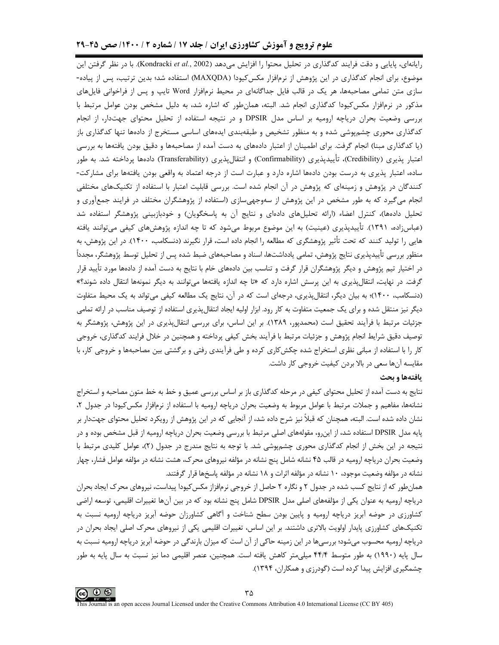## علوم ترویج و آموزش کشاورزی ایران / جلد ۱۷ / شماره ۲ / ۱۴۰۰/ صص ۴۵-۲۹

رایانهای، پایایی و دقت فرایند کدگذاری در تحلیل محتوا را افزایش میدهد (Kondracki et al., 2002). با در نظر گرفتن این موضوع، برای انجام کدگذاری در این پژوهش از نرمافزار مکس5کیودا (MAXQDA) استفاده شد؛ بدین ترتیب، پس از پیاده-سازی متن تمامی مصاحبهها، هر یک در قالب فایل جداگانهای در محیط نرمافزار Word تایپ و پس از فراخوانی فایل های مذکور در نرمافزار مکس کیودا کدگذاری انجام شد. البته، همانطور که اشاره شد، به دلیل مشخص بودن عوامل مرتبط با بررسی وضعیت بحران دریاچه ارومیه بر اساس مدل DPSIR و در نتیجه استفاده از تحلیل محتوای جهتدار، از انجام کدگذاری محوری چشمپوشی شده و به منظور تشخیص و طبقهبندی ایدههای اساسی مستخرج از دادهها تنها کدگذاری باز (یا کدگذاری مبنا) انجام گرفت. برای اطمینان از اعتبار دادههای به دست آمده از مصاحبهها و دقیق بودن یافتهها به بررسی اعتبار پذیری (Credibility)، تأییدپذیری (Confirmability) و انتقالپذیری (Transferability) دادهها پرداخته شد. به طور ساده، اعتبار پذیری به درست بودن دادهها اشاره دارد و عبارت است از درجه اعتماد به واقعی بودن یافتهها برای مشارکت-کنندگان در پژوهش و زمینهای که پژوهش در آن انجام شده است. بررسی قابلیت اعتبار با استفاده از تکنیکهای مختلفی انجام میگیرد که به طور مشخص در این پژوهش از سهوجهیسازی (استفاده از پژوهشگران مختلف در فرایند جمعآوری و تحلیل دادهها)، کنترل اعضاء (ارائه تحلیلهای دادهای و نتایج آن به پاسخگویان) و خودبازبینی پژوهشگر استفاده شد (عباسزاده، ۱۳۹۱). تأییدپذیری (عینیت) به این موضوع مربوط میشود که تا چه اندازه پژوهشهای کیفی میتوانند یافته هایی را تولید کنند که تحت تأثیر پژوهشگری که مطالعه را انجام داده است، قرار نگیرند (دنسکامب، ۱۴۰۰). در این پژوهش، به منظور بررسی تأییدپذیری نتایج پژوهش، تمامی یادداشتها، اسناد و مصاحبههای ضبط شده پس از تحلیل توسط پژوهشگر، مجدداً در اختیار تیم پژوهش و دیگر پژوهشگران قرار گرفت و تناسب بین دادههای خام با نتایج به دست آمده از دادهها مورد تأیید قرار گرفت. در نهایت، انتقالپذیری به این پرسش اشاره دارد که «تا چه اندازه یافتهها میتوانند به دیگر نمونهها انتقال داده شوند؟» (دنسکامب، ۱۴۰۰)؛ به بیان دیگر، انتقالپذیری، درجهای است که در آن، نتایج یک مطالعه کیفی میتواند به یک محیط متفاوت دیگر نیز منتقل شده و برای یک جمعیت متفاوت به کار رود. ابزار اولیه ایجاد انتقال پذیری استفاده از توصیف مناسب در ارائه تمامی جزئیات مرتبط با فرآیند تحقیق است (محمدپور، ۱۳۸۹). بر این اساس، برای بررسی انتقالپذیری در این پژوهش، پژوهشگر به توصيف دقيق شرايط انجام پژوهش و جزئيات مرتبط با فرآيند بخش كيفي پرداخته و همچنين در خلال فرايند كدگذاري، خروجي کار را با استفاده از مبانی نظری استخراج شده چکشکاری کرده و طی فرآیندی رفتی و برگشتی بین مصاحبهها و خروجی کار، با مقایسه آنها سعی در بالا بردن کیفیت خروجی کار داشت.

#### يافتهها و بحث

نتايج به دست آمده از تحليل محتواي كيفي در مرحله كدگذاري باز بر اساس بررسي عميق و خط به خط متون مصاحبه و استخراج نشانهها، مفاهیم و جملات مرتبط با عوامل مربوط به وضعیت بحران دریاچه ارومیه با استفاده از نرمافزار مکس کیودا در جدول ۲، نشان داده شده است. البته، همچنان که قبلاً نیز شرح داده شد، از آنجایی که در این پژوهش از رویکرد تحلیل محتوای جهتدار بر پایه مدل DPSIR استفاده شد، از اینرو، مقولههای اصلی مرتبط با بررسی وضعیت بحران دریاچه ارومیه از قبل مشخص بوده و در نتیجه در این بخش از انجام کدگذاری محوری چشمپوشی شد. با توجه به نتایج مندرج در جدول (۲)، عوامل کلیدی مرتبط با وضعیت بحران دریاچه ارومیه در قالب ۴۵ نشانه شامل پنج نشانه در مؤلفه نیروهای محرک، هشت نشانه در مؤلفه عوامل فشار، چهار نشانه در مؤلفه وضعیت موجود، ۱۰ نشانه در مؤلفه اثرات و ۱۸ نشانه در مؤلفه پاسخها قرار گرفتند.

همان طور که از نتایج کسب شده در جدول ۲ و نگاره ۲ حاصل از خروجی نرمافزاز مکس کیودا پیداست، نیروهای محرک ایجاد بحران دریاچه ارومیه به عنوان یکی از مؤلفههای اصلی مدل DPSIR شامل پنج نشانه بود که در بین آنها تغییرات اقلیمی، توسعه اراضی کشاورزی در حوضه آبریز دریاچه ارومیه و پایین بودن سطح شناخت و آگاهی کشاورزان حوضه آبریز دریاچه ارومیه نسبت به تکنیکهای کشاورزی پایدار اولویت بالاتری داشتند. بر این اساس، تغییرات اقلیمی یکی از نیروهای محرک اصلی ایجاد بحران در دریاچه ارومیه محسوب میشود؛ بررسیها در این زمینه حاکی از آن است که میزان بارندگی در حوضه آبریز دریاچه ارومیه نسبت به سال پایه (۱۹۹۰) به طور متوسط ۴۴/۴ میلی متر کاهش یافته است. همچنین، عنصر اقلیمی دما نیز نسبت به سال پایه به طور چشمگیری افزایش پیدا کرده است (گودرزی و همکاران، ۱۳۹۴).

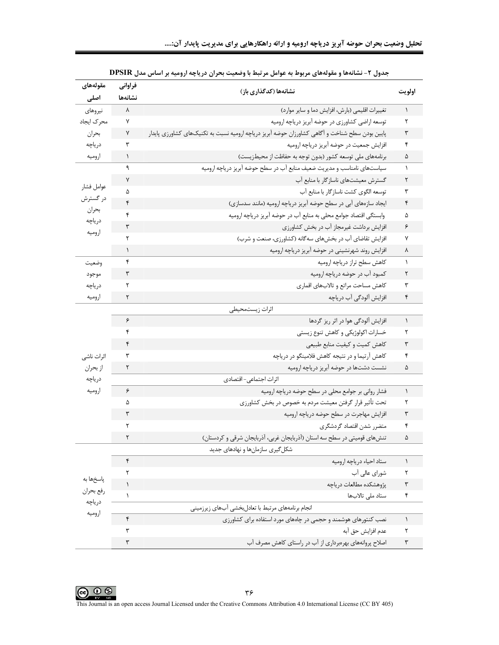|  |  | تحلیل وضعیت بحران حوضه آبریز دریاچه ارومیه و ارائه راهکارهایی برای مدیریت پایدار آن: |  |  |  |  |  |  |  |  |  |  |  |
|--|--|--------------------------------------------------------------------------------------|--|--|--|--|--|--|--|--|--|--|--|
|--|--|--------------------------------------------------------------------------------------|--|--|--|--|--|--|--|--|--|--|--|

| مقولههاى<br>اصلی    | فراواني<br>نشانهها   | نشانهها (كدگذاري باز)                                                                          | اولويت               |
|---------------------|----------------------|------------------------------------------------------------------------------------------------|----------------------|
| نيروهاى             | λ                    | تغییرات اقلیمی (بارش، افزایش دما و سایر موارد)                                                 | $\lambda$            |
| محرك ايجاد          | ٧                    | توسعه اراضي كشاورزي در حوضه أبريز درياچه اروميه                                                | ٢                    |
| بحران               | ٧                    | پایین بودن سطح شناخت و آگاهی کشاورزان حوضه آبریز دریاچه ارومیه نسبت به تکنیکهای کشاورزی پایدار | ٣                    |
| درياچه              | ٣                    | افزایش جمعیت در حوضه آبریز دریاچه ارومیه                                                       | ۴                    |
| اروميه              | $\lambda$            | برنامههای ملی توسعه کشور (بدون توجه به حفاظت از محیطزیست)                                      | ۵                    |
|                     | ٩                    | سیاستهای نامناسب و مدیریت ضعیف منابع آب در سطح حوضه آبریز دریاچه ارومیه                        | $\lambda$            |
|                     | ٧                    | گسترش معیشتهای ناسازگار با منابع آب                                                            | ٢                    |
| عوامل فشار          | ۵                    | توسعه الگوی کشت ناسازگار با منابع آب                                                           | ٣                    |
| در گسترش            | ۴                    | ایجاد سازههای آبی در سطح حوضه آبریز دریاچه ارومیه (مانند سدسازی)                               | ۴                    |
| بحران<br>درياچه     | ۴                    | وابستگی اقتصاد جوامع محلی به منابع آب در حوضه آبریز دریاچه ارومیه                              | ۵                    |
| اروميه              | ٣                    | افزایش برداشت غیرمجاز آب در بخش کشاورزی                                                        | ۶                    |
|                     | ٢                    | افزایش تقاضای آب در بخشهای سهگانه (کشاورزی، صنعت و شرب)                                        | ٧                    |
|                     | $\mathcal{L}$        | افزایش روند شهرنشینی در حوضه آبریز دریاچه ارومیه                                               | ٨                    |
| وضعيت               | ۴                    | كاهش سطح تراز درياچه اروميه                                                                    | ١                    |
| موجود               | ٣                    | کمبود آب در حوضه دریاچه ارومیه                                                                 | ٢                    |
| درياچه              | ٢                    | كاهش مساحت مراتع و تالابهاي اقماري                                                             | ٣                    |
| اروميه              | ٢                    | افزایش آلودگی آب دریاچه                                                                        | ۴                    |
|                     |                      | اثرات زيستمحيطي                                                                                |                      |
|                     | ۶                    | افزایش آلودگی هوا در اثر ریز گردها                                                             | $\lambda$            |
|                     | ۴                    | خسارات اکولوژیکی و کاهش تنوع زیستی                                                             | ٢                    |
|                     | ۴                    | كاهش كميت و كيفيت منابع طبيعي                                                                  | ٣                    |
| اثرات ناشى          | ٣                    | کاهش آرتیما و در نتیجه کاهش فلامینگو در دریاچه                                                 | ۴                    |
| از بحران            | ٢                    | نشست دشتها در حوضه آبریز دریاچه ارومیه                                                         | ۵                    |
| درياچه              |                      | اثرات اجتماعي- اقتصادي                                                                         |                      |
| اروميه              | ۶                    | فشار روانی بر جوامع محلی در سطح حوضه دریاچه ارومیه                                             | ١                    |
|                     | ۵                    | تحت تأثیر قرار گرفتن معیشت مردم به خصوص در بخش کشاورزی                                         | ٢                    |
|                     | ٣                    | افزایش مهاجرت در سطح حوضه دریاچه ارومیه                                                        | ٣                    |
|                     | ٢                    | متضرر شدن اقتصاد گردشگري                                                                       | ۴                    |
|                     | ٢                    | تنشهای قومیتی در سطح سه استان (آذربایجان غربی، آذربایجان شرقی و کردستان)                       | ۵                    |
|                     |                      | شکل گیری سازمانها و نهادهای جدید                                                               |                      |
|                     | ۴                    | ستاد احياء درياچه اروميه                                                                       | $\lambda$            |
| پاسخها به           | ٢                    | شورای عالی آب                                                                                  | ٢                    |
| رفع بحران<br>درياچه | $\lambda$            | پژوهشکده مطالعات درياچه                                                                        | $\mathbf{\breve{r}}$ |
|                     | $\lambda$            | ستاد ملی تالابها                                                                               | ۴                    |
| اروميه              |                      | انجام برنامههای مرتبط با تعادلبخشی آبهای زیرزمینی                                              |                      |
|                     | ۴                    | نصب کنتورهای هوشمند و حجمی در چاههای مورد استفاده برای کشاورزی                                 | $\lambda$            |
|                     | ٣                    | عدم افزايش حق آبه                                                                              | ٢                    |
|                     | $\mathbf{\breve{v}}$ | اصلاح پروانههای بهرهبرداری از آب در راستای کاهش مصرف آب                                        | $\mathbf{\breve{v}}$ |

| جدول ۲- نشانهها و مقولههای مربوط به عوامل مرتبط با وضعیت بحران دریاچه ارومیه بر اساس مدل DPSIR |  |  |  |
|------------------------------------------------------------------------------------------------|--|--|--|
|------------------------------------------------------------------------------------------------|--|--|--|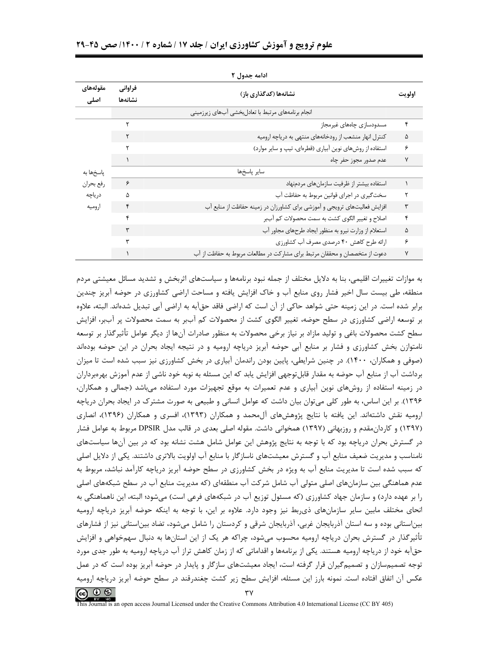| ادامه جدول ۲     |                                             |                                                                            |   |  |  |  |
|------------------|---------------------------------------------|----------------------------------------------------------------------------|---|--|--|--|
| مقولههاى<br>اصلى | فراواني<br>نشانهها (كدگذاري باز)<br>نشانهها |                                                                            |   |  |  |  |
|                  |                                             | انجام برنامههای مرتبط با تعادلبخشی أبهای زیرزمینی                          |   |  |  |  |
|                  | ۲                                           | مسدودسازى چاەھاى غيرمجاز                                                   | ۴ |  |  |  |
|                  |                                             | کنترل انهار منشعب از رودخانههای منتهی به دریاچه ارومیه                     | ۵ |  |  |  |
|                  |                                             | استفاده از روشهای نوین آبیاری (قطرهای، تیپ و سایر موارد)                   | ۶ |  |  |  |
| پاسخها به        |                                             | عدم صدور مجوز حفر چاه                                                      | ٧ |  |  |  |
|                  |                                             | ساير پاسخها                                                                |   |  |  |  |
| رفع بحران        | ۶                                           | استفاده بيشتر از ظرفيت سازمان هاى مردمنهاد                                 |   |  |  |  |
| درياچه           | ۵                                           | سختگیری در اجرای قوانین مربوط به حفاظت آب                                  | ٢ |  |  |  |
| اروميه           | ۴                                           | افزایش فعالیتهای ترویجی و آموزشی برای کشاورزان در زمینه حفاظت از منابع آب  | ٣ |  |  |  |
|                  | ۴                                           | اصلاح و تغییر الگوی کشت به سمت محصولات کم آببر                             | ۴ |  |  |  |
|                  | ٣                                           | استعلام از وزارت نیرو به منظور ایجاد طرحهای مجاور آب                       | ۵ |  |  |  |
|                  | ٣                                           | ارائه طرح كاهش ۴۰ درصدي مصرف آب كشاورزي                                    | ۶ |  |  |  |
|                  |                                             | دعوت از متخصصان و محققان مرتبط برای مشارکت در مطالعات مربوط به حفاظت از آب | ٧ |  |  |  |

به موازات تغییرات اقلیمی، بنا به دلایل مختلف از جمله نبود برنامهها و سیاستهای اثربخش و تشدید مسائل معیشتی مردم منطقه، طی بیست سال اخیر فشار روی منابع آب و خاک افزایش یافته و مساحت اراضی کشاورزی در حوضه آبریز چندین برابر شده است. در این زمینه حتی شواهد حاکی از آن است که اراضی فاقد حقآبه به اراضی آبی تبدیل شدهاند. البته، علاوه بر توسعه اراضی کشاورزی در سطح حوضه، تغییر الگوی کشت از محصولات کم آببر به سمت محصولات پر آببر، افزایش سطح کشت محصولات باغی و تولید مازاد بر نیاز برخی محصولات به منظور صادرات آنها از دیگر عوامل تأثیرگذار بر توسعه نامتوازن بخش کشاورزی و فشار بر منابع آبی حوضه آبریز دریاچه ارومیه و در نتیجه ایجاد بحران در این حوضه بودهاند (صوفی و همکاران، ۱۴۰۰). در چنین شرایطی، پایین بودن راندمان آبیاری در بخش کشاورزی نیز سبب شده است تا میزان برداشت آب از منابع آب حوضه به مقدار قابلتوجهي افزايش يابد كه اين مسئله به نوبه خود ناشي از عدم آموزش بهرمبرداران در زمینه استفاده از روشهای نوین آبیاری و عدم تعمیرات به موقع تجهیزات مورد استفاده میباشد (جمالی و همکاران، ۱۳۹۶). بر این اساس، به طور کلی می توان بیان داشت که عوامل انسانی و طبیعی به صورت مشترک در ایجاد بحران دریاچه ارومیه نقش داشتهاند. این یافته با نتایج پژوهشهای آل•حمد و همکاران (۱۳۹۳)، افسری و همکاران (۱۳۹۶)، انصاری (۱۳۹۷) و کاردان،مقدم و روزبهانی (۱۳۹۷) همخوانی داشت. مقوله اصلی بعدی در قالب مدل DPSIR مربوط به عوامل فشار در گسترش بحران دریاچه بود که با توجه به نتایج پژوهش این عوامل شامل هشت نشانه بود که در بین آنها سیاستهای نامناسب و مدیریت ضعیف منابع آب و گسترش معیشتهای ناسازگار با منابع آب اولویت بالاتری داشتند. یکی از دلایل اصلی که سبب شده است تا مدیریت منابع آب به ویژه در بخش کشاورزی در سطح حوضه آبریز دریاچه کارآمد نباشد، مربوط به عدم هماهنگی بین سازمانهای اصلی متولی آب شامل شرکت آب منطقهای (که مدیریت منابع آب در سطح شبکههای اصلی را بر عهده دارد) و سازمان جهاد کشاورزی (که مسئول توزیع آب در شبکههای فرعی است) میشود؛ البته، این ناهماهنگی به انحای مختلف مابین سایر سازمانهای ذی ربط نیز وجود دارد. علاوه بر این، با توجه به اینکه حوضه آبریز دریاچه ارومیه بیناستانی بوده و سه استان آذربایجان غربی، آذربایجان شرقی و کردستان را شامل میشود، تضاد بیناستانی نیز از فشارهای تأثیرگذار در گسترش بحران دریاچه ارومیه محسوب میشود، چراکه هر یک از این استانها به دنبال سهمخواهی و افزایش حقآبه خود از دریاچه ارومیه هستند. یکی از برنامهها و اقداماتی که از زمان کاهش تراز آب دریاچه ارومیه به طور جدی مورد توجه تصمیمسازان و تصمیمگیران قرار گرفته است، ایجاد معیشتهای سازگار و پایدار در حوضه آبریز بوده است که در عمل عکس آن اتفاق افتاده است. نمونه بارز این مسئله، افزایش سطح زیر کشت چغندرقند در سطح حوضه آبریز دریاچه ارومیه **ெ** ெ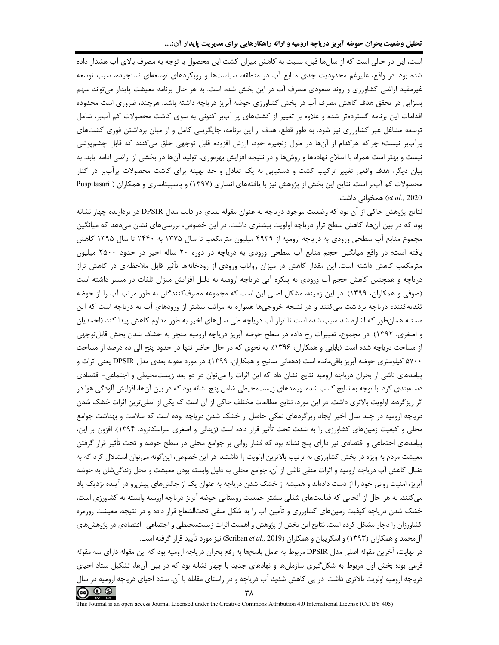تحلیل وضعیت بحران حوضه آبریز دریاچه ارومیه و ارائه راهکارهایی برای مدیریت پایدار آن:....

است، این در حالی است که از سالها قبل، نسبت به کاهش میزان کشت این محصول با توجه به مصرف بالای آب هشدار داده شده بود. در واقع، علیرغم محدودیت جدی منابع آب در منطقه، سیاستها و رویکردهای توسعهای نسنجیده، سبب توسعه غیرمفید اراضی کشاورزی و روند صعودی مصرف آب در این بخش شده است. به هر حال برنامه معیشت پایدار میتواند سهم بسزایی در تحقق هدف کاهش مصرف آب در بخش کشاورزی حوضه آبریز دریاچه داشته باشد. هرچند، ضروری است محدوده اقدامات این برنامه گستردهتر شده و علاوه بر تغییر از کشتهای پر آببر کنونی به سوی کاشت محصولات کم آببر، شامل توسعه مشاغل غیر کشاورزی نیز شود. به طور قطع، هدف از این برنامه، جایگزینی کامل و از میان برداشتن فوری کشتهای پرآببر نیست؛ چراکه هرکدام از آنها در طول زنجیره خود، ارزش افزوده قابل توجهی خلق میکنند که قابل چشمپوشی نیست و بهتر است همراه با اصلاح نهادهها و روشها و در نتیجه افزایش بهرهوری، تولید آنها در بخشی از اراضی ادامه یابد. به بیان دیگر، هدف واقعی تغییر ترکیب کشت و دستیابی به یک تعادل و حد بهینه برای کاشت محصولات پرآببر در کنار محصولات کم آببر است. نتایج این بخش از پژوهش نیز با یافتههای انصاری (۱۳۹۷) و پاسپیتاساری و همکاران ( Puspitasari et al., 2020) همخوانی داشت.

نتايج پژوهش حاكي از آن بود كه وضعيت موجود درياچه به عنوان مقوله بعدي در قالب مدل DPSIR در بردارنده چهار نشانه بود که در بین آنها، کاهش سطح تراز دریاچه اولویت بیشتری داشت. در این خصوص، بررسیهای نشان میدهد که میانگین مجموع منابع آب سطحی ورودی به دریاچه ارومیه از ۴۹۳۹ میلیون مترمکعب تا سال ۱۳۷۵ به ۲۴۴۰ تا سال ۱۳۹۵ کاهش یافته است؛ در واقع میانگین حجم منابع آب سطحی ورودی به دریاچه در دوره ۲۰ ساله اخیر در حدود ۲۵۰۰ میلیون مترمکعب کاهش داشته است. این مقدار کاهش در میزان رواناب ورودی از رودخانهها تأثیر قابل ملاحظهای در کاهش تراز دریاچه و همچنین کاهش حجم آب ورودی به پیکره آبی دریاچه ارومیه به دلیل افزایش میزان تلفات در مسیر داشته است (صوفی و همکاران، ۱۳۹۹). در این زمینه، مشکل اصلی این است که مجموعه مصرفکنندگان به طور مرتب آب را از حوضه تغذیهکننده دریاچه برداشت میکنند و در نتیجه خروجیها همواره به مراتب بیشتر از ورودهای آب به دریاچه است که این مسئله همان طور که اشاره شد سبب شده است تا تراز آب دریاچه طے سال۱های اخیر به طور مداوم کاهش پیدا کند (احمدیان و اصغری، ۱۳۹۲). در مجموع، تغییرات رخ داده در سطح حوضه اًبریز دریاچه ارومیه منجر به خشک شدن بخش قابلتوجهی از مساحت دریاچه شده است (بابایی و همکاران، ۱۳۹۶)، به نحوی که در حال حاضر تنها در حدود پنج الی ده درصد از مساحت ۵۷۰۰ کیلومتری حوضه آبریز باقیمانده است (دهقانی سانیج و همکاران، ۱۳۹۹). در مورد مقوله بعدی مدل DPSIR یعنی اثرات و پیامدهای ناشی از بحران دریاچه ارومیه نتایج نشان داد که این اثرات را میتوان در دو بعد زیستمحیطی و اجتماعی- اقتصادی دستهبندی کرد. با توجه به نتایج کسب شده، پیامدهای زیستمحیطی شامل پنج نشانه بود که در بین آنها، افزایش آلودگی هوا در اثر , یز گردها اولویت بالاتری داشت. در این مورد، نتایج مطالعات مختلف حاکی از آن است که یکی از اصلیترین اثرات خشک شدن دریاچه ارومیه در چند سال اخیر ایجاد ریزگردهای نمکی حاصل از خشک شدن دریاچه بوده است که سلامت و بهداشت جوامع محلی و کیفیت زمینهای کشاورزی را به شدت تحت تأثیر قرار داده است (زینالی و اصغری سراسکانرود، ۱۳۹۴). افزون بر این، پیامدهای اجتماعی و اقتصادی نیز دارای پنج نشانه بود که فشار روانی بر جوامع محلی در سطح حوضه و تحت تأثیر قرار گرفتن معیشت مردم به ویژه در بخش کشاورزی به ترتیب بالاترین اولویت را داشتند. در این خصوص، اینگونه میتوان استدلال کرد که به دنبال كاهش آب درياچه اروميه و اثرات منفي ناشي از آن، جوامع محلي به دليل وابسته بودن معيشت و محل زندگي شان به حوضه آبریز، امنیت روانی خود را از دست دادهاند و همیشه از خشک شدن دریاچه به عنوان یک از چالشهای پیش رو در آینده نزدیک یاد می کنند. به هر حال از آنجایی که فعالیتهای شغلی بیشتر جمعیت روستایی حوضه آبریز دریاچه ارومیه وابسته به کشاورزی است، خشک شدن دریاچه کیفیت زمینهای کشاورزی و تأمین آب را به شکل منفی تحتالشعاع قرار داده و در نتیجه، معیشت روزمره کشاورزان را دچار مشکل کرده است. نتایج این بخش از پژوهش و اهمیت اثرات زیستمحیطی و اجتماعی- اقتصادی در پژوهشهای آلمحمد و همکاران (۱۳۹۳) و اسکریبان و همکاران (Scriban *et al.,* 2019) نیز مورد تأیید قرار گرفته است.

در نهایت، آخرین مقوله اصلی مدل DPSIR مربوط به عامل پاسخها به رفع بحران دریاچه ارومیه بود که این مقوله دارای سه مقوله فرعی بود؛ بخش اول مربوط به شکل گیری سازمانها و نهادهای جدید با چهار نشانه بود که در بین آنها، تشکیل ستاد احیای دریاچه ارومیه اولویت بالاتری داشت. در پی کاهش شدید آب دریاچه و در راستای مقابله با آن، ستاد احیای دریاچه ارومیه در سال  $\circledcirc$   $\circledcirc$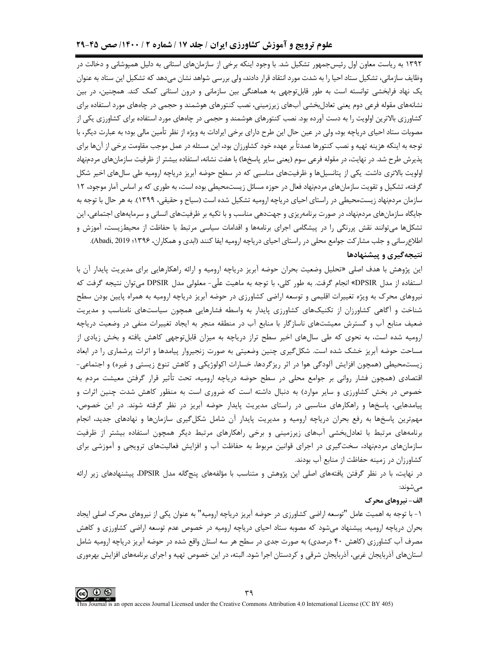# علوم ترویج و آموزش کشاورزی ایران / جلد ۱۷ / شماره ۲ / ۱۴۰۰/ صص ۴۵-۲۹

۱۳۹۲ به ریاست معاون اول رئیسجمهور تشکیل شد. با وجود اینکه برخی از سازمانهای استانی به دلیل همپوشانی و دخالت در وظایف سازمانی، تشکیل ستاد احیا را به شدت مورد انتقاد قرار دادند، ولی بررسی شواهد نشان می دهد که تشکیل این ستاد به عنوان یک نهاد فرابخشی توانسته است به طور قابل توجهی به هماهنگی بین سازمانی و درون استانی کمک کند. همچنین، در بین نشانههای مقوله فرعی دوم یعنی تعادل بخشی آبهای زیرزمینی، نصب کنتورهای هوشمند و حجمی در چاههای مورد استفاده برای کشاورزی بالاترین اولویت را به دست آورده بود. نصب کنتورهای هوشمند و حجمی در چاههای مورد استفاده برای کشاورزی یکی از مصوبات ستاد احیای دریاچه بود، ولی در عین حال این طرح دارای برخی ایرادات به ویژه از نظر تأمین مالی بود؛ به عبارت دیگر، با توجه به اینکه هزینه تهیه و نصب کنتورها عمدتاً بر عهده خود کشاورزان بود، این مسئله در عمل موجب مقاومت برخی از آنها برای پذیرش طرح شد. در نهایت، در مقوله فرعی سوم (یعنی سایر پاسخها) با هفت نشانه، استفاده بیشتر از ظرفیت سازمانهای مردمنهاد اولویت بالاتری داشت. یکی از پتانسیلها و ظرفیتهای مناسبی که در سطح حوضه آبریز دریاچه ارومیه طی سالهای اخیر شکل گرفته، تشکیل و تقویت سازمانهای مردمنهاد فعال در حوزه مسائل زیستمحیطی بوده است، به طوری که بر اساس آمار موجود، ۱۲ سازمان مردمنهاد زیستمحیطی در راستای احیای دریاچه ارومیه تشکیل شده است (سیاح و حقیقی، ۱۳۹۹). به هر حال با توجه به جایگاه سازمانهای مردمنهاد، در صورت برنامهریزی و جهتدهی مناسب و با تکیه بر ظرفیتهای انسانی و سرمایههای اجتماعی، این تشکلها میتوانند نقش پررنگی را در پیشگامی اجرای برنامهها و اقدامات سیاسی مرتبط با حفاظت از محیطزیست، آموزش و اطلاع رسانی و جلب مشارکت جوامع محلی در راستای احیای دریاچه ارومیه ایفا کنند (ابدی و همکاران، ۱۳۹۶؛ Abadi, 2019).

## نتیجهگیری و پیشنهادها

این پژوهش با هدف اصلی «تحلیل وضعیت بحران حوضه آبریز دریاچه ارومیه و ارائه راهکارهایی برای مدیریت پایدار آن با استفاده از مدل DPSIR» انجام گرفت. به طور كلي، با توجه به ماهيت علّى- معلولي مدل DPSIR مي توان نتيجه گرفت كه نیروهای محرک به ویژه تغییرات اقلیمی و توسعه اراضی کشاورزی در حوضه آبریز دریاچه ارومیه به همراه پایین بودن سطح شناخت و آگاهی کشاورزان از تکنیکهای کشاورزی پایدار به واسطه فشارهایی همچون سیاستهای نامناسب و مدیریت ضعیف منابع آب و گسترش معیشتهای ناسازگار با منابع آب در منطقه منجر به ایجاد تغییرات منفی در وضعیت دریاچه ارومیه شده است، به نحوی که طی سالهای اخیر سطح تراز دریاچه به میزان قابلتوجهی کاهش یافته و بخش زیادی از مساحت حوضه آبریز خشک شده است. شکل گیری چنین وضعیتی به صورت زنجیروار پیامدها و اثرات پرشماری را در ابعاد زیستمحیطی (همچون افزایش آلودگی هوا در اثر ریزگردها، خسارات اکولوژیکی و کاهش تنوع زیستی و غیره) و اجتماعی-اقتصادی (همچون فشار روانی بر جوامع محلی در سطح حوضه دریاچه ارومیه، تحت تأثیر قرار گرفتن معیشت مردم به خصوص در بخش کشاورزی و سایر موارد) به دنبال داشته است که ضروری است به منظور کاهش شدت چنین اثرات و یپامدهایی، پاسخها و راهکارهای مناسبی در راستای مدیریت پایدار حوضه آبریز در نظر گرفته شوند. در این خصوص، مهمترین پاسخها به رفع بحران دریاچه ارومیه و مدیریت پایدار آن شامل شکلگیری سازمانها و نهادهای جدید، انجام برنامههای مرتبط با تعادلبخشی آبهای زیرزمینی و برخی راهکارهای مرتبط دیگر همچون استفاده بیشتر از ظرفیت سازمانهای مردمنهاد، سختگیری در اجرای قوانین مربوط به حفاظت آب و افزایش فعالیتهای ترویجی و آموزشی برای كشاورزان در زمينه حفاظت از منابع آب بودند.

در نهایت، با در نظر گرفتن یافتههای اصلی این پژوهش و متناسب با مؤلفههای پنجگانه مدل DPSIR، پیشنهادهای زیر ارائه مے شوند:

#### الف- نیروهای محرک

۱ – با توجه به اهمیت عامل "توسعه اراضی کشاورزی در حوضه آبریز دریاچه ارومیه" به عنوان یکی از نیروهای محرک اصلی ایجاد بحران دریاچه ارومیه، پیشنهاد میشود که مصوبه ستاد احیای دریاچه ارومیه در خصوص عدم توسعه اراضی کشاورزی و کاهش مصرف آب کشاورزی (کاهش ۴۰ درصدی) به صورت جدی در سطح هر سه استان واقع شده در حوضه آبریز دریاچه ارومیه شامل استانهای آذربایجان غربی، آذربایجان شرقی و کردستان اجرا شود. البته، در این خصوص تهیه و اجرای برنامههای افزایش بهرهوری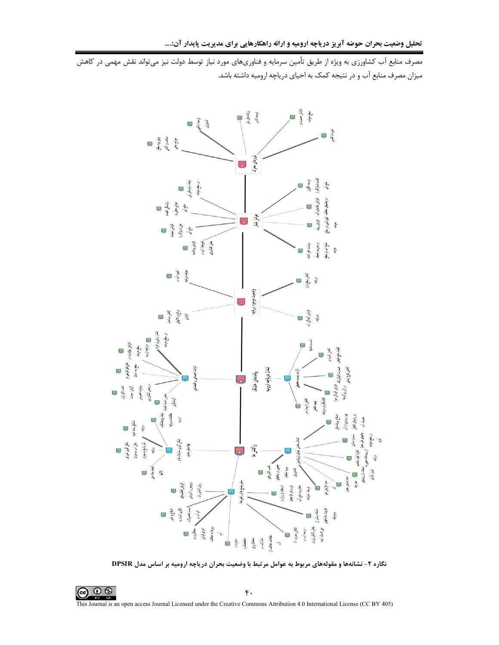مصرف منابع آب کشاورزی به ویژه از طریق تأمین سرمایه و فناوریهای مورد نیاز توسط دولت نیز میتواند نقش مهمی در کاهش .<br>میزان مصرف منابع آب و در نتیجه کمک به احیای دریاچه ارومیه داشته باشد.



نگاره ۲- نشانهها و مقولههای مربوط به عوامل مرتبط با وضعیت بحران دریاچه ارومیه بر اساس مدل DPSIR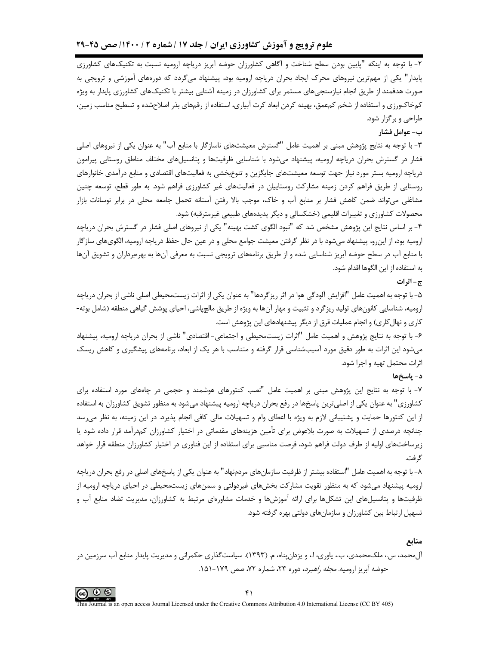۲- با توجه به اینکه "پایین بودن سطح شناخت و آگاهی کشاورزان حوضه آبریز دریاچه ارومیه نسبت به تکنیکهای کشاورزی پایدار" یکی از مهمترین نیروهای محرک ایجاد بحران دریاچه ارومیه بود، پیشنهاد میگردد که دورههای آموزشی و ترویجی به صورت هدفمند از طریق انجام نیازسنجے های مستمر برای کشاورزان در زمینه آشنایی بیشتر با تکنیکهای کشاورزی پایدار به ویژه کمخاکورزی و استفاده از شخم کمءمق، بهینه کردن ابعاد کرت آبیاری، استفاده از رقمهای بذر اصلاحشده و تسطیح مناسب زمین، طراحی و برگزار شود.

ب- عوامل فشار

۳- با توجه به نتایج پژوهش مبنی بر اهمیت عامل "گسترش معیشتهای ناسازگار با منابع آب" به عنوان یکی از نیروهای اصلی فشار در گسترش بحران دریاچه ارومیه، پیشنهاد میشود با شناسایی ظرفیتها و پتانسیلهای مختلف مناطق روستایی پیرامون دریاچه ارومیه بستر مورد نیاز جهت توسعه معیشتهای جایگزین و تنوع،خشی به فعالیتهای اقتصادی و منابع درآمدی خانوارهای روستایی از طریق فراهم کردن زمینه مشارکت روستاییان در فعالیتهای غیر کشاورزی فراهم شود. به طور قطع، توسعه چنین مشاغلی می¤واند ضمن کاهش فشار بر منابع آب و خاک، موجب بالا رفتن آستانه تحمل جامعه محلی در برابر نوسانات بازار محصولات کشاورزی و تغییرات اقلیمی (خشکسالی و دیگر پدیدههای طبیعی غیرمترقبه) شود.

۴- بر اساس نتایج این پژوهش مشخص شد که "نبود الگوی کشت بهینه" یکی از نیروهای اصلی فشار در گسترش بحران دریاچه ارومیه بود، از اینرو، پیشنهاد میشود با در نظر گرفتن معیشت جوامع محلی و در عین حال حفظ دریاچه ارومیه، الگویهای سازگار با منابع آب در سطح حوضه آبریز شناسایی شده و از طریق برنامههای ترویجی نسبت به معرفی آنها به بهرهبرداران و تشویق آنها به استفاده از این الگوها اقدام شود.

## ج-اثرات

۵– با توجه به اهمیت عامل "افزایش آلودگی هوا در اثر ریزگردها" به عنوان یکی از اثرات زیستمحیطی اصلی ناشی از بحران دریاچه ارومیه، شناسایی کانونهای تولید ریزگرد و تثبیت و مهار آنها به ویژه از طریق مالچپاشی، احیای پوشش گیاهی منطقه (شامل بوته-کاری و نهال کاری) و انجام عملیات قرق از دیگر پیشنهادهای این پژوهش است.

۶- با توجه به نتايج پژوهش و اهميت عامل "اثرات زيستمحيطي و اجتماعي- اقتصادي" ناشي از بحران درياچه اروميه، پيشنهاد می شود این اثرات به طور دقیق مورد آسیب شناسی قرار گرفته و متناسب با هر یک از ابعاد، برنامههای پیشگیری و کاهش ریسک اثرات محتمل تهيه و اجرا شود.

#### د– پاسخها

۷- با توجه به نتایج این پژوهش مبنی بر اهمیت عامل "نصب کنتورهای هوشمند و حجمی در چاههای مورد استفاده برای کشاورزی" به عنوان یکی از اصلی ترین پاسخها در رفع بحران دریاچه ارومیه پیشنهاد می شود به منظور تشویق کشاورزان به استفاده از این کنتورها حمایت و پشتیبانی لازم به ویژه با اعطای وام و تسهیلات مالی کافی انجام پذیرد. در این زمینه، به نظر می رسد چنانچه درصدی از تسهیلات به صورت بلاعوض برای تأمین هزینههای مقدماتی در اختیار کشاورزان کمدرآمد قرار داده شود یا زیرساختهای اولیه از طرف دولت فراهم شود، فرصت مناسبی برای استفاده از این فناوری در اختیار کشاورزان منطقه قرار خواهد گر فت.

۸– با توجه به اهمیت عامل "استفاده بیشتر از ظرفیت سازمانهای مردمنهاد" به عنوان یکی از پاسخهای اصلی در رفع بحران دریاچه ارومیه پیشنهاد میشود که به منظور تقویت مشارکت بخشهای غیردولتی و سمنهای زیستمحیطی در احیای دریاچه ارومیه از ظرفیتها و پتانسیلهای این تشکلها برای ارائه آموزشها و خدمات مشاورهای مرتبط به کشاورزان، مدیریت تضاد منابع آب و تسهیل ارتباط بین کشاورزان و سازمانهای دولتی بهره گرفته شود.

منابع

آل،حمد، س.، ملک،حمدی، ب.، یاوری، ا.، و پزدان بناه، م. (۱۳۹۳). سیاستگذاری حکمرانی و مدیریت پایدار منابع آب سرزمین در حوضه آبریز ارومیه. *مجله راهبرد*، دوره ۲۳، شماره ۷۲، صص ۱۷۹-۱۵۱.

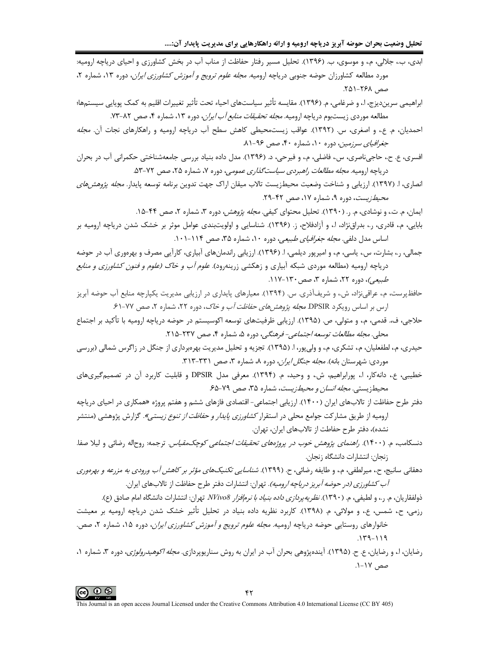تحلیل وضعیت بحران حوضه آبریز دریاچه ارومیه و ارائه راهکارهایی برای مدیریت پایدار آن:....

ابدی، ب.، جلالی، م.، و موسوی، ب. (۱۳۹۶). تحلیل مسیر رفتار حفاظت از مناب آب در بخش کشاورزی و احیای دریاچه ارومیه: مورد مطالعه کشاورزان حوضه جنوبی دریاچه ارومیه. *مجله علوم ترویج و آموزش کشاورزی ایران*، دوره ۱۳، شماره ۲. صص, ۲۶۸–۲۵۱.

ابراهيمي سرينديزج، ا.، و ضرغامي، م. (١٣٩۶). مقايسه تأثير سياستهاي احياء تحت تأثير تغييرات اقليم به كمك پويايي سيستمها؛ مطالعه موردی زیستبوم دریاچه ارومیه. *مجله تحقیقات منابع آب ایران*، دوره ۱۳، شماره ۴، صص ۸۲–۷۳.

احمدیان، م. ع.، و اصغری، س. (۱۳۹۲). عواقب زیستمحیطی کاهش سطح آب دریاچه ارومیه و راهکارهای نجات آن. *مجله* جغرافیای سرزمین، دوره ۱۰، شماره ۴۰، صص ۹۶-۸۱.

افسري، ع. ح.، حاجي ناصري، س.، فاضلي، م.، و فيرحي، د. (١٣٩۶). مدل داده بنياد بررسي جامعهشناختي حكمراني آب در بحران درياچه اروميه. *مجله مطالعات راهبردي سياست گذاري عمومي،* دوره ۷، شماره ۲۵، صص ۷۲-۵۳.

انصاری، ا. (۱۳۹۷). ارزیابی و شناخت وضعیت محیطزیست تالاب میقان اراک جهت تدوین برنامه توسعه پایدار. *مجله پژوهشهای* محیط زیست، دوره ۹، شماره ۱۷، صص ۴۲-۲۹.

ایمان، م. ت.، و نوشادی، م. ر. (۱۳۹۰). تحلیل محتوای کیفی. *مجله پژوهش،* دوره ۳، شماره ۲، صص ۴۴-۱۵. بابایی، م.، قادری، ٫.، بدراق¿ژاد، ا.، و آزادفلاح، ز. (۱۳۹۶). شناسایی و اولویتبندی عوامل موثر بر خشک شدن دریاچه ارومیه بر

اساس مدل دلفی. *مجله جغرافیای طبیعی*، دوره ۱۰، شماره ۳۵، صص ۱۱۴-۱۰۱.

- جمالي، ر.، بشارت، س.، پاسي، م.، و اميرپور ديلمي، ا. (١٣٩۶). ارزيابي راندمانهاي آبياري، كارآيي مصرف و بهرهوري آب در حوضه دریاچه ارومیه (مطالعه موردی شبکه آبیاری و زهکشی زرینهرود). *علوم آب و خاک (علوم و فنون کشاورزی و منابع* طبیعے)، دورہ ۲۲، شمارہ ۳، صص ۱۳۰-۱۱۷.
- حافظپرست، م،، عراقیiژاد، ش.، و شریفآذری. س. (۱۳۹۴). معیارهای پایداری در ارزیابی مدیریت یکپارچه منابع آب حوضه آبریز ارس بر اساس رویکرد DPSIR *مجله پژوهش های حفاظت آب و خاک*، دوره ۲۲، شماره ۲، صص ۷۷-۶۱.
- حلاجي، ف، قدمي، م،، و متولي، ص. (١٣٩۵). ارزيابي ظرفيتهاي توسعه اكوسيستم در حوضه درياچه اروميه با تأكيد بر اجتماع محلي. مجله مطالعات توسعه اجتماعي- فرهنگي، دوره ۵، شماره ۴، صص ۲۳۷-۲۱۵.
- حیدری، م.، لطفعلیان، م.، تشکری، م.، و ولیپور، ا. (۱۳۹۵). تجزیه و تحلیل مدیریت بهرهبرداری از جنگل در زاگرس شمالی (بررسی موردی: شهرستان بانه). *مجله جنگل ایران*، دوره ۸، شماره ۳، صص ۳۱۱-۳۱۳.
- .<br>خطیبی، ع.، دانهکار، ا.، پورابراهیم، ش.، و وحید، م. (۱۳۹۴). معرفی مدل DPSIR و قابلیت کاربرد آن در تصمیمگیریهای محیطزیستی. *مجله انسان و محیطزیست*، شماره ۳۵، صص ۷۹-۶۵.
- دفتر طرح حفاظت از تالابهای ایران (۱۴۰۰). ارزیابی اجتماعی- اقتصادی فازهای ششم و هفتم پروژه «همکاری در احیای دریاچه ارومیه از طریق مشارکت جوامع محلی در استقرار *کشاورزی پایدار و حفاظت از تنوع زیستی».* گزارش پژوهشی (منتشر نشده)، دفتر طرح حفاطت از تالابهای ایران، تهران.
- دنسکامب، م. (۱۴۰۰). *راهنمای پژوهش خوب در پروژههای تحقیقات اجتماعی کوچکمقیاس*. ترجمه: روحاله رضائی و لیلا صفا. زنجان: انتشارات دانشگاه زنجان.
- دهقاني سانيج، ح.، ميرلطفي، م.، و طايفه <sub>(</sub>ضائي، ح. (١٣٩٩). *شناسايي تكنيكهاي مؤثر بر كاهش آب ورودي به مزرعه و بهرهوري آب كشاورزي (در حوضه آبريز درياچه اروميه)*. تهران: انتشارات دفتر طرح حفاظت از تالابهاي ايران.
	- ذولفقاريان، م. S، و لطيفي، م. (١٣٩٠). *نظريه پردازي داده بنياد با نرمافزار NVivo8* تهران: انتشارات دانشگاه امام صادق (ع).
- رزمی، ح.، شمس، ع.، و مولائی، م. (١٣٩٨). كاربرد نظريه داده بنياد در تحليل تأثير خشک شدن درياچه اروميه بر معيشت خانوارهای روستایی حوضه دریاچه ارومیه. *مجله علوم ترویج و آموزش کشاورزی ایران*، دوره ۱۵، شماره ۲، صص.  $11 - P71$
- رضایان، ا.، و رضایان، ع. ح. (۱۳۹۵). آیندهپژوهی بحران آب در ایران به روش سناریوپردازی. *مجله اکوهیدرولوژی*، دوره ۳، شماره ۱، صص ۱۷-۱.

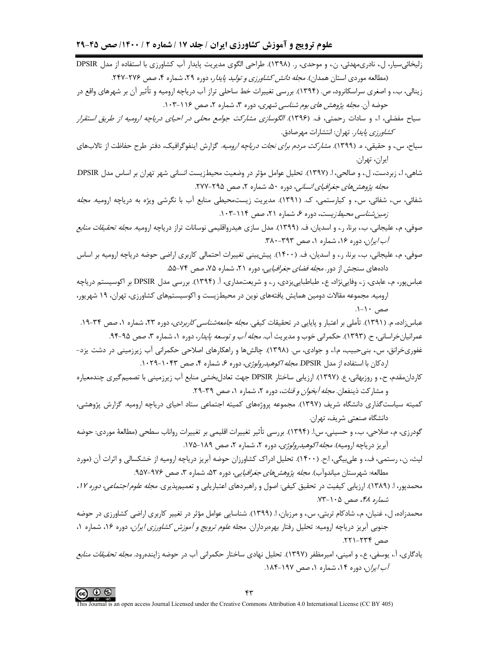- زليخائي سيار، ل.، نادري مهدئي، ن.، و موحدي، ر. (١٣٩٨). طراحي الگوي مديريت پايدار آب كشاورزي با استفاده از مدل DPSIR (مطالعه موردی استان همدان). *مجله دانش کشاورزی و تولید پایدا*ر، دوره ۲۹، شماره ۴، صص ۲۷۶-۲۴۷. زینالی، ب،، و اصغری سراسکانرود، ص. (۱۳۹۴). بررسی تغییرات خط ساحلی تراز آب دریاچه ارومیه و تأثیر آن بر شهرهای واقع در حوضه آن. *مجله پژوهش های بوم شناسی شهری*، دوره ۳، شماره ۲، صص ۱۱۶-۱۰۳.
- سیاح مفضلی، ا.، و سادات رحمتی، ف. (۱۳۹۶). *الگوسازی مشارکت جوامع محلی در احیای دریاچه ارومیه از طریق استقرار كشاورزي پايدار*. تهران: انتشارات مهرصادق.
- سیاح، س.، و حقیقی، ه. (۱۳۹۹). *مشارکت مردم برای نجات دریاچه ارومیه*. گزارش اینفوگرافیک، دفتر طرح حفاظت از تالابهای ايران، تهران.
- شاهي، ا.، زبردست، ل.، و صالحي، ا. (١٣٩٧). تحليل عوامل مؤثر در وضعيت محيطزيست انساني شهر تهران بر اساس مدل DPSIR. مجله پژوهشهای جغرافیای انسانی، دوره ۵۰، شماره ۲، صص ۲۹۵-۲۷۷.
- شفائی، س.، شفائی، س.، و کیارستمی، ک. (۱۳۹۱). مدیریت زیستمحیطی منابع آب با نگرشی ویژه به دریاچه ارومیه. *مجله* زمین شناسی محیط زیست، دوره ۶، شماره ۲۱، صص ۱۱۴-۱۰۳.
- صوفی، م.، علیجانی، ب.، برنا، ر.، و اسدیان، ف. (۱۳۹۹). مدل سازی هیدرواقلیمی نوسانات تراز دریاچه ارومیه*. مجله تحقیقات منابع* آب/یران، دوره ۱۶، شماره ۱، صص ۳۹۳-۳۸۰.
- صوفی، م.، علیجانی، ب.، برنا، ر.، و اسدیان، ف. (۱۴۰۰). پیشبینی تغییرات احتمالی کاربری اراضی حوضه دریاچه ارومیه بر اساس دادههای سنجش از دور. *مجله فضای جغرافیایی*، دوره ۲۱، شماره ۷۵، صص ۷۴-۵۵.
- عباسپور، م.، عابدي، ز.، وفايينژاد، ع.، طباطبايي زدي، ر.، و شريعتمداري، آ. (۱۳۹۴). بررسي مدل DPSIR بر اكوسيستم درياچه ارومیه. مجموعه مقالات دومین همایش یافتههای نوین در محیطزیست و اکوسیستمهای کشاورزی، تهران، ۱۹ شهریور، صص ١٠-١.
- عباسزاده، م. (۱۳۹۱). تأملي بر اعتبار و پايايي در تحقيقات كيفي. *مجله جامعهشناسي كاربردي*، دوره ۲۳، شماره ۱، صص ۳۴-۱۹. عمرانیانخراسانی، ح. (۱۳۹۳). حکمرانی خوب و مدیریت آب. *مجله آب و توسعه پایدار*، دوره ۱، شماره ۳، صص ۹۵-۹۴.
- غفوریخرانق، س.، بنیحبیب، م.ا.، و جوادی، س. (۱۳۹۸). چالشها و راهکارهای اصلاحی حکمرانی آب زیرزمینی در دشت یزد-اردكان با استفاده از مدل DPSIR *مجله اكوهيدرولوژى،* دوره ۶، شماره ۴، صص ۱۰۴۳-۱۰۲۹.
- کاردان،مقدم، ح.، و روزبهانی، ع. (۱۳۹۷). ارزیابی ساختار DPSIR جهت تعادل بخشی منابع آب زیرزمینی با تصمیم گیری چندمعیاره و مشاركت ذينفعان. *مجله آبخوان و قنات*، دوره ٢، شماره ١، صص ٣٩-٢٩.
- کمیته سیاستگذاری دانشگاه شریف (۱۳۹۷). مجموعه پروژههای کمیته اجتماعی ستاد احیای دریاچه ارومیه. گزارش پژوهشی، دانشگاه صنعتی شریف، تهران.
- گودرزی، م.، صلاحی، ب.، و حسینی، س.ا. (۱۳۹۴). بررسی تأثیر تغییرات اقلیمی بر تغییرات رواناب سطحی (مطالعهٔ موردی: حوضه آبریز دریاچه ارومیه). *مجله اکوهیدرولوژی،* دوره ۲، شماره ۲، صص ۱۸۹-۱۷۵.
- لیث، ن.، رستمی، ف.، و علی،یگی، اج. (۱۴۰۰). تحلیل ادراک کشاورزان حوضه آبریز دریاچه ارومیه از خشکسالی و اثرات آن (مورد مطالعه: شهرستان میاندوآب). *مجله پژوهش های جغرافیایی*، دوره ۵۳، شماره ۳، صص ۹۷۶-۹۵۷.
- محمدپور، ا. (۱۳۸۹). ارزیابی کیفیت در تحقیق کیفی: اصول و راهبردهای اعتباریابی و تعمیمپذیری. *مجله علوم اجتماعی، دوره ۱۲*، شماره ۴۸، صص ۱۰۵-۷۳.
- محمدزاده، ل، غنیان، م، شادکام تربتی، س.، و مرزبان، ا. (۱۳۹۹). شناسایی عوامل مؤثر در تغییر کاربری اراضی کشاورزی در حوضه جنوبی أبریز دریاچه ارومیه: تحلیل رفتار بهرهبرداران. مجله *علوم ترویج و آموزش کشاورزی ایران*، دوره ۱۶، شماره ۱، صص ۲۳۴-۲۲۱.
- يادگاري، آ.، يوسفي، ع.، و اميني، اميرمظفر (١٣٩٧). تحليل نهادي ساختار حكمراني آب در حوضه زايندهرود. *مجله تحقيقات منابع* آب/یران، دوره ۱۴، شماره ۱، صص ۱۹۷-۱۸۴.

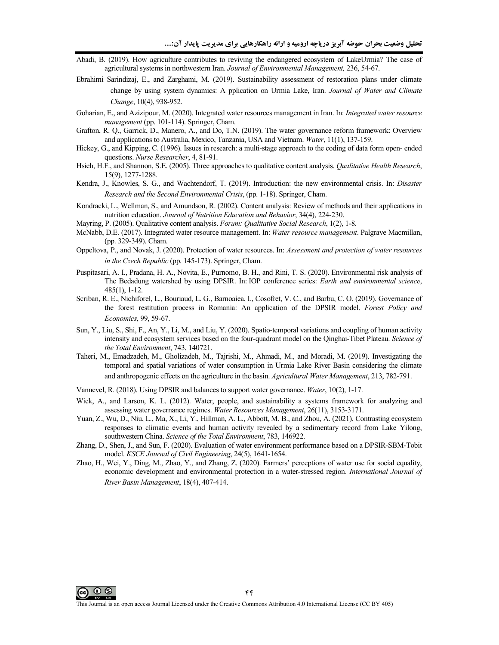- Abadi, B. (2019). How agriculture contributes to reviving the endangered ecosystem of LakeUrmia? The case of agricultural systems in northwestern Iran. *Journal of Environmental Management,* 236, 54-67.
- Ebrahimi Sarindizaj, E., and Zarghami, M. (2019). Sustainability assessment of restoration plans under climate change by using system dynamics: A pplication on Urmia Lake, Iran. *Journal of Water and Climate Change*, 10(4), 938-952.
- Goharian, E., and Azizipour, M. (2020). Integrated water resources management in Iran. In: *Integrated water resource management* (pp. 101-114). Springer, Cham.
- Grafton, R. Q., Garrick, D., Manero, A., and Do, T.N. (2019). The water governance reform framework: Overview and applications to Australia, Mexico, Tanzania, USA and Vietnam. *Water*, 11(1), 137-159.
- Hickey, G., and Kipping, C. (1996). Issues in research: a multi-stage approach to the coding of data form open- ended questions. *Nurse Researcher*, 4, 81-91.
- Hsieh, H.F., and Shannon, S.E. (2005). Three approaches to qualitative content analysis. *Qualitative Health Research*, 15(9), 1277-1288.
- Kendra, J., Knowles, S. G., and Wachtendorf, T. (2019). Introduction: the new environmental crisis. In: *Disaster Research and the Second Environmental Crisis*, (pp. 1-18). Springer, Cham.
- Kondracki, L., Wellman, S., and Amundson, R. (2002). Content analysis: Review of methods and their applications in nutrition education. *Journal of Nutrition Education and Behavior*, 34(4), 224-230.
- Mayring, P. (2005). Qualitative content analysis. *Forum: Qualitative Social Research*, 1(2), 1-8.
- McNabb, D.E. (2017). Integrated water resource management. In: *Water resource management*. Palgrave Macmillan, (pp. 329-349). Cham.
- Oppeltova, P., and Novak, J. (2020). Protection of water resources. In: *Assessment and protection of water resources in the Czech Republic* (pp. 145-173). Springer, Cham.
- Puspitasari, A. I., Pradana, H. A., Novita, E., Purnomo, B. H., and Rini, T. S. (2020). Environmental risk analysis of The Bedadung watershed by using DPSIR. In: IOP conference series: *Earth and environmental science*, 485(1), 1-12.
- Scriban, R. E., Nichiforel, L., Bouriaud, L. G., Barnoaiea, I., Cosofret, V. C., and Barbu, C. O. (2019). Governance of the forest restitution process in Romania: An application of the DPSIR model. *Forest Policy and Economics*, 99, 59-67.
- Sun, Y., Liu, S., Shi, F., An, Y., Li, M., and Liu, Y. (2020). Spatio-temporal variations and coupling of human activity intensity and ecosystem services based on the four-quadrant model on the Qinghai-Tibet Plateau. *Science of the Total Environment*, 743, 140721.
- Taheri, M., Emadzadeh, M., Gholizadeh, M., Tajrishi, M., Ahmadi, M., and Moradi, M. (2019). Investigating the temporal and spatial variations of water consumption in Urmia Lake River Basin considering the climate and anthropogenic effects on the agriculture in the basin. *Agricultural Water Management*, 213, 782-791.
- Vannevel, R. (2018). Using DPSIR and balances to support water governance. *Water*, 10(2), 1-17.
- Wiek, A., and Larson, K. L. (2012). Water, people, and sustainability a systems framework for analyzing and assessing water governance regimes. *Water Resources Management*, 26(11), 3153-3171.
- Yuan, Z., Wu, D., Niu, L., Ma, X., Li, Y., Hillman, A. L., Abbott, M. B., and Zhou, A. (2021). Contrasting ecosystem responses to climatic events and human activity revealed by a sedimentary record from Lake Yilong, southwestern China. *Science of the Total Environment*, 783, 146922.
- Zhang, D., Shen, J., and Sun, F. (2020). Evaluation of water environment performance based on a DPSIR-SBM-Tobit model. *KSCE Journal of Civil Engineering*, 24(5), 1641-1654.
- Zhao, H., Wei, Y., Ding, M., Zhao, Y., and Zhang, Z. (2020). Farmers' perceptions of water use for social equality, economic development and environmental protection in a water-stressed region. *International Journal of River Basin Management*, 18(4), 407-414.